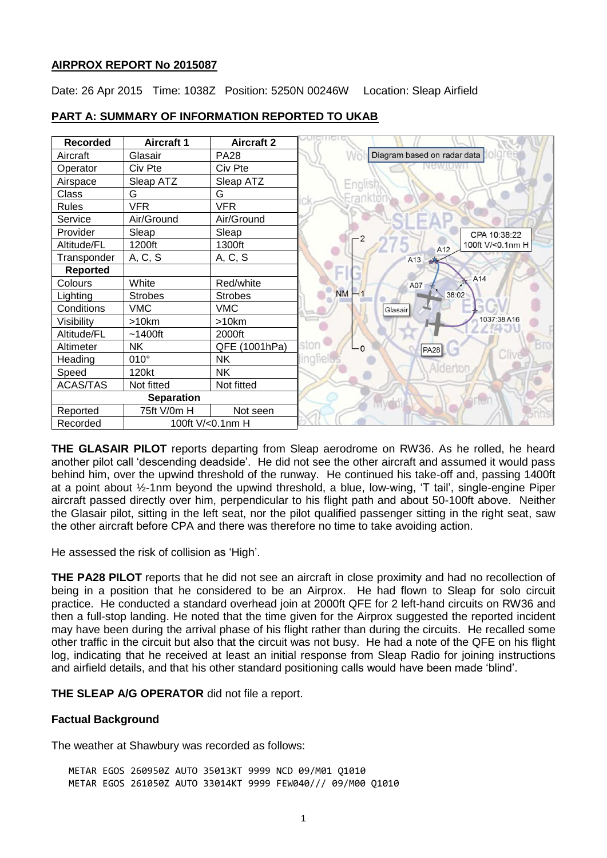### **AIRPROX REPORT No 2015087**

Date: 26 Apr 2015 Time: 1038Z Position: 5250N 00246W Location: Sleap Airfield

| Recorded          | <b>Aircraft 1</b> | <b>Aircraft 2</b> |                             |
|-------------------|-------------------|-------------------|-----------------------------|
| Aircraft          | Glasair           | <b>PA28</b>       | Diagram based on radar data |
| Operator          | Civ Pte           | Civ Pte           |                             |
| Airspace          | Sleap ATZ         | Sleap ATZ         | Englis                      |
| Class             | G                 | G                 | trankte                     |
| <b>Rules</b>      | <b>VFR</b>        | <b>VFR</b>        |                             |
| Service           | Air/Ground        | Air/Ground        |                             |
| Provider          | Sleap             | Sleap             | CPA 10:38:22                |
| Altitude/FL       | 1200ft            | 1300ft            | 100ft V/<0.1nm H<br>A12     |
| Transponder       | A, C, S           | A, C, S           | A13<br>$\mathcal{A}$        |
| <b>Reported</b>   |                   |                   |                             |
| Colours           | White             | Red/white         | A14<br>A07                  |
| Lighting          | <b>Strobes</b>    | <b>Strobes</b>    | <b>NM</b><br>$-1$<br>38:02  |
| Conditions        | <b>VMC</b>        | <b>VMC</b>        | Glasair                     |
| Visibility        | >10km             | >10km             | 1037:38A16                  |
| Altitude/FL       | $~1400$ ft        | 2000ft            |                             |
| Altimeter         | <b>NK</b>         | QFE (1001hPa)     | ston<br>- 0<br><b>PA28</b>  |
| Heading           | $010^\circ$       | <b>NK</b>         | Clive<br>lingfielt          |
| Speed             | 120kt             | <b>NK</b>         | Alderto                     |
| <b>ACAS/TAS</b>   | Not fitted        | Not fitted        |                             |
| <b>Separation</b> |                   |                   |                             |
| Reported          | 75ft V/0m H       | Not seen          |                             |
| Recorded          | 100ft V/<0.1nm H  |                   |                             |

# **PART A: SUMMARY OF INFORMATION REPORTED TO UKAB**

**THE GLASAIR PILOT** reports departing from Sleap aerodrome on RW36. As he rolled, he heard another pilot call 'descending deadside'. He did not see the other aircraft and assumed it would pass behind him, over the upwind threshold of the runway. He continued his take-off and, passing 1400ft at a point about ½-1nm beyond the upwind threshold, a blue, low-wing, 'T tail', single-engine Piper aircraft passed directly over him, perpendicular to his flight path and about 50-100ft above. Neither the Glasair pilot, sitting in the left seat, nor the pilot qualified passenger sitting in the right seat, saw the other aircraft before CPA and there was therefore no time to take avoiding action.

He assessed the risk of collision as 'High'.

**THE PA28 PILOT** reports that he did not see an aircraft in close proximity and had no recollection of being in a position that he considered to be an Airprox. He had flown to Sleap for solo circuit practice. He conducted a standard overhead join at 2000ft QFE for 2 left-hand circuits on RW36 and then a full-stop landing. He noted that the time given for the Airprox suggested the reported incident may have been during the arrival phase of his flight rather than during the circuits. He recalled some other traffic in the circuit but also that the circuit was not busy. He had a note of the QFE on his flight log, indicating that he received at least an initial response from Sleap Radio for joining instructions and airfield details, and that his other standard positioning calls would have been made 'blind'.

**THE SLEAP A/G OPERATOR** did not file a report.

# **Factual Background**

The weather at Shawbury was recorded as follows:

METAR EGOS 260950Z AUTO 35013KT 9999 NCD 09/M01 Q1010 METAR EGOS 261050Z AUTO 33014KT 9999 FEW040/// 09/M00 Q1010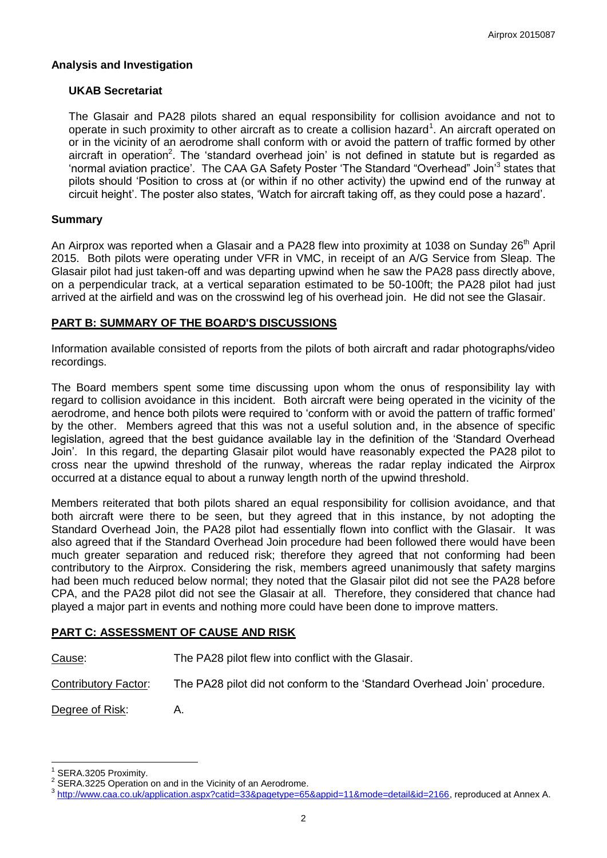### **Analysis and Investigation**

### **UKAB Secretariat**

The Glasair and PA28 pilots shared an equal responsibility for collision avoidance and not to operate in such proximity to other aircraft as to create a collision hazard<sup>1</sup>. An aircraft operated on or in the vicinity of an aerodrome shall conform with or avoid the pattern of traffic formed by other aircraft in operation<sup>2</sup>. The 'standard overhead join' is not defined in statute but is regarded as 'normal aviation practice'. The CAA GA Safety Poster 'The Standard "Overhead" Join<sup>3</sup> states that pilots should 'Position to cross at (or within if no other activity) the upwind end of the runway at circuit height'. The poster also states, 'Watch for aircraft taking off, as they could pose a hazard'.

### **Summary**

An Airprox was reported when a Glasair and a PA28 flew into proximity at 1038 on Sunday 26<sup>th</sup> April 2015. Both pilots were operating under VFR in VMC, in receipt of an A/G Service from Sleap. The Glasair pilot had just taken-off and was departing upwind when he saw the PA28 pass directly above, on a perpendicular track, at a vertical separation estimated to be 50-100ft; the PA28 pilot had just arrived at the airfield and was on the crosswind leg of his overhead join. He did not see the Glasair.

### **PART B: SUMMARY OF THE BOARD'S DISCUSSIONS**

Information available consisted of reports from the pilots of both aircraft and radar photographs/video recordings.

The Board members spent some time discussing upon whom the onus of responsibility lay with regard to collision avoidance in this incident. Both aircraft were being operated in the vicinity of the aerodrome, and hence both pilots were required to 'conform with or avoid the pattern of traffic formed' by the other. Members agreed that this was not a useful solution and, in the absence of specific legislation, agreed that the best guidance available lay in the definition of the 'Standard Overhead Join'. In this regard, the departing Glasair pilot would have reasonably expected the PA28 pilot to cross near the upwind threshold of the runway, whereas the radar replay indicated the Airprox occurred at a distance equal to about a runway length north of the upwind threshold.

Members reiterated that both pilots shared an equal responsibility for collision avoidance, and that both aircraft were there to be seen, but they agreed that in this instance, by not adopting the Standard Overhead Join, the PA28 pilot had essentially flown into conflict with the Glasair. It was also agreed that if the Standard Overhead Join procedure had been followed there would have been much greater separation and reduced risk; therefore they agreed that not conforming had been contributory to the Airprox. Considering the risk, members agreed unanimously that safety margins had been much reduced below normal; they noted that the Glasair pilot did not see the PA28 before CPA, and the PA28 pilot did not see the Glasair at all. Therefore, they considered that chance had played a major part in events and nothing more could have been done to improve matters.

# **PART C: ASSESSMENT OF CAUSE AND RISK**

Cause: The PA28 pilot flew into conflict with the Glasair.

Contributory Factor: The PA28 pilot did not conform to the 'Standard Overhead Join' procedure.

Degree of Risk: A.

 $\overline{a}$ 

<sup>1</sup> SERA.3205 Proximity.

<sup>2</sup> SERA.3225 Operation on and in the Vicinity of an Aerodrome.

<sup>3</sup> [http://www.caa.co.uk/application.aspx?catid=33&pagetype=65&appid=11&mode=detail&id=2166,](http://www.caa.co.uk/application.aspx?catid=33&pagetype=65&appid=11&mode=detail&id=2166) reproduced at Annex A.